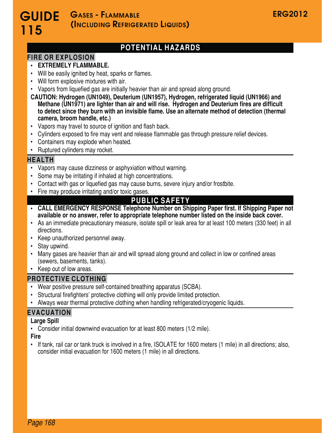# **POTENTIAL HAZARDS**

## **FIRE OR EXPLOSION**

### **s EXTREMELY FLAMMABLE.**

- Will be easily ignited by heat, sparks or flames.
- Will form explosive mixtures with air.
- Vapors from liquefied gas are initially heavier than air and spread along ground.
- **CAUTION: Hydrogen (UN1049), Deuterium (UN1957), Hydrogen, refrigerated liquid (UN1966) and Methane (UN1971) are lighter than air and will rise. Hydrogen and Deuterium fires are difficult to detect since they burn with an invisible flame. Use an alternate method of detection (thermal camera, broom handle, etc.)**
- Vapors may travel to source of ignition and flash back.
- Cylinders exposed to fire may vent and release flammable gas through pressure relief devices.
- Containers may explode when heated.
- Ruptured cylinders may rocket.

## **HEALTH**

- Vapors may cause dizziness or asphyxiation without warning.
- Some may be irritating if inhaled at high concentrations.
- Contact with gas or liquefied gas may cause burns, severe injury and/or frostbite.
- Fire may produce irritating and/or toxic gases.

## **PUBLIC SAFETY**

- **s CALL EMERGENCY RESPONSE Telephone Number on Shipping Paper first. If Shipping Paper not available or no answer, refer to appropriate telephone number listed on the inside back cover.**
- As an immediate precautionary measure, isolate spill or leak area for at least 100 meters (330 feet) in all directions.
- Keep unauthorized personnel away.
- Stay upwind.
- Many gases are heavier than air and will spread along ground and collect in low or confined areas (sewers, basements, tanks).
- Keep out of low areas.

## **PROTECTIVE CLOTHING**

- Wear positive pressure self-contained breathing apparatus (SCBA).
- Structural firefighters' protective clothing will only provide limited protection.
- Always wear thermal protective clothing when handling refrigerated/cryogenic liquids.

## **EVACUATION**

#### **Large Spill**

• Consider initial downwind evacuation for at least 800 meters (1/2 mile).

**Fire**

If tank, rail car or tank truck is involved in a fire, ISOLATE for 1600 meters (1 mile) in all directions; also, consider initial evacuation for 1600 meters (1 mile) in all directions.